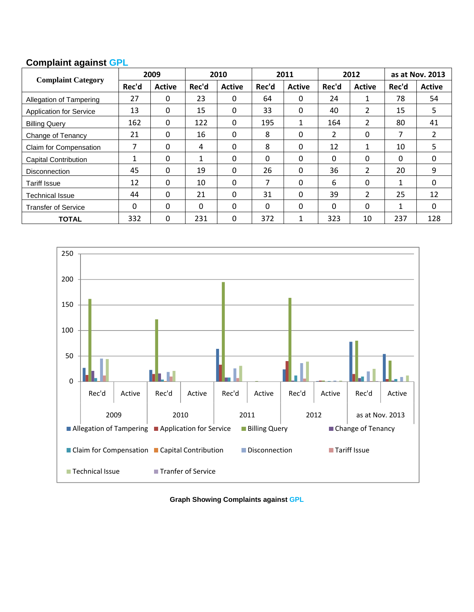## **Complaint against GPL**

| <b>Complaint Category</b>      | 2009         |               | 2010  |               | 2011  |               | 2012           |                       | as at Nov. 2013 |               |
|--------------------------------|--------------|---------------|-------|---------------|-------|---------------|----------------|-----------------------|-----------------|---------------|
|                                | Rec'd        | <b>Active</b> | Rec'd | <b>Active</b> | Rec'd | <b>Active</b> | Rec'd          | <b>Active</b>         | Rec'd           | <b>Active</b> |
| Allegation of Tampering        | 27           | 0             | 23    | $\Omega$      | 64    | 0             | 24             | 1                     | 78              | 54            |
| <b>Application for Service</b> | 13           | 0             | 15    | $\mathbf{0}$  | 33    | 0             | 40             | $\mathbf{2}^{\prime}$ | 15              | 5             |
| <b>Billing Query</b>           | 162          | $\mathbf{0}$  | 122   | $\mathbf{0}$  | 195   | 1             | 164            | $\overline{2}$        | 80              | 41            |
| Change of Tenancy              | 21           | $\mathbf{0}$  | 16    | $\Omega$      | 8     | 0             | $\overline{2}$ | 0                     | 7               | 2             |
| Claim for Compensation         | 7            | 0             | 4     | 0             | 8     | 0             | 12             |                       | 10              | 5             |
| <b>Capital Contribution</b>    | $\mathbf{1}$ | $\mathbf{0}$  | 1     | 0             | 0     | 0             | 0              | $\Omega$              | 0               | 0             |
| <b>Disconnection</b>           | 45           | $\mathbf{0}$  | 19    | $\mathbf{0}$  | 26    | 0             | 36             | $\overline{2}$        | 20              | 9             |
| <b>Tariff Issue</b>            | 12           | $\mathbf{0}$  | 10    | $\Omega$      | 7     | $\Omega$      | 6              | $\Omega$              | 1               | $\Omega$      |
| <b>Technical Issue</b>         | 44           | 0             | 21    | 0             | 31    | 0             | 39             | $\overline{2}$        | 25              | 12            |
| <b>Transfer of Service</b>     | 0            | 0             | 0     | $\Omega$      | 0     | 0             | 0              | $\Omega$              | 1               | $\Omega$      |
| <b>TOTAL</b>                   | 332          | 0             | 231   | $\Omega$      | 372   | 1             | 323            | 10                    | 237             | 128           |



**Graph Showing Complaints against GPL**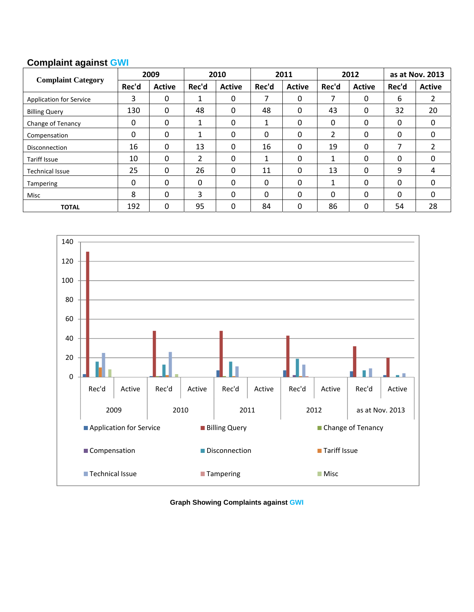## **Complaint against GWI**

| <b>Complaint Category</b> | 2009  |               | 2010     |               | 2011  |               | 2012     |          | as at Nov. 2013 |               |
|---------------------------|-------|---------------|----------|---------------|-------|---------------|----------|----------|-----------------|---------------|
|                           | Rec'd | <b>Active</b> | Rec'd    | <b>Active</b> | Rec'd | <b>Active</b> | Rec'd    | Active   | Rec'd           | <b>Active</b> |
| Application for Service   | 3     | 0             |          | 0             | 7     | 0             | 7        | 0        | 6               | 2             |
| <b>Billing Query</b>      | 130   | 0             | 48       | 0             | 48    | 0             | 43       | 0        | 32              | 20            |
| Change of Tenancy         | 0     | 0             |          | 0             | 1     | 0             | 0        | 0        | 0               | $\Omega$      |
| Compensation              | 0     | 0             |          | 0             | 0     | 0             | 2        | 0        | 0               | 0             |
| <b>Disconnection</b>      | 16    | 0             | 13       | 0             | 16    | 0             | 19       | 0        | 7               | 2             |
| <b>Tariff Issue</b>       | 10    | 0             | 2        | 0             | 1     | 0             |          | 0        | 0               | 0             |
| <b>Technical Issue</b>    | 25    | 0             | 26       | 0             | 11    | 0             | 13       | $\Omega$ | 9               | 4             |
| Tampering                 | 0     | 0             | $\Omega$ | 0             | 0     | 0             | 1        | $\Omega$ | 0               | $\Omega$      |
| Misc                      | 8     | 0             | 3        | 0             | 0     | 0             | $\Omega$ | 0        | $\Omega$        | 0             |
| <b>TOTAL</b>              | 192   | 0             | 95       | 0             | 84    | 0             | 86       | 0        | 54              | 28            |



**Graph Showing Complaints against GWI**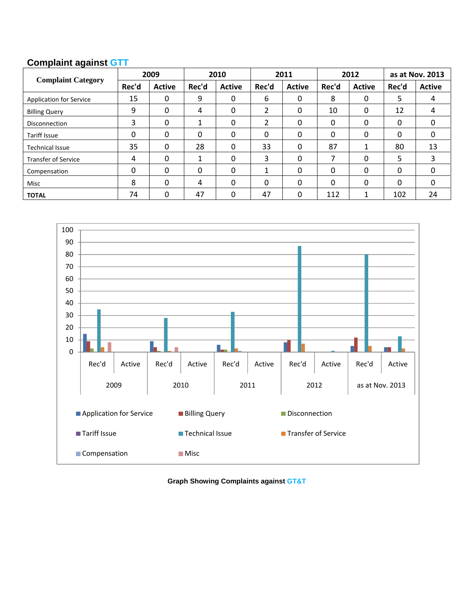## **Complaint against GTT**

| <b>Complaint Category</b>      | 2009  |               | 2010  |               | 2011  |               | 2012  |               | as at Nov. 2013 |               |
|--------------------------------|-------|---------------|-------|---------------|-------|---------------|-------|---------------|-----------------|---------------|
|                                | Rec'd | <b>Active</b> | Rec'd | <b>Active</b> | Rec'd | <b>Active</b> | Rec'd | <b>Active</b> | Rec'd           | <b>Active</b> |
| <b>Application for Service</b> | 15    | 0             | 9     | 0             | 6     | 0             | 8     | 0             | 5               | 4             |
| <b>Billing Query</b>           | 9     | 0             | 4     | 0             | 2     | 0             | 10    | 0             | 12              | 4             |
| Disconnection                  | 3     | 0             |       | 0             | 2     | 0             | 0     | 0             | 0               | 0             |
| <b>Tariff Issue</b>            | 0     | 0             | 0     | 0             | 0     | 0             | 0     | 0             | $\Omega$        | 0             |
| <b>Technical Issue</b>         | 35    | 0             | 28    | 0             | 33    | 0             | 87    |               | 80              | 13            |
| <b>Transfer of Service</b>     | 4     | 0             |       | 0             | 3     | 0             | 7     | 0             | 5               | 3             |
| Compensation                   | 0     | 0             | 0     | 0             |       | 0             | 0     | 0             | $\Omega$        | 0             |
| Misc                           | 8     | 0             | 4     | 0             | 0     | 0             | 0     | 0             | $\Omega$        | 0             |
| <b>TOTAL</b>                   | 74    | 0             | 47    | 0             | 47    | 0             | 112   | 1             | 102             | 24            |



**Graph Showing Complaints against GT&T**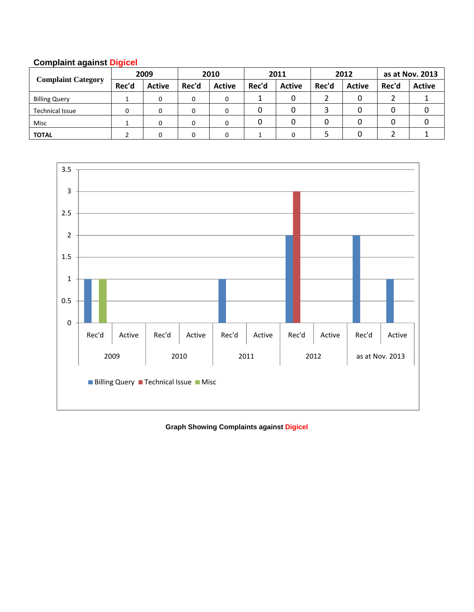| <b>Complaint Category</b> | 2009  |               | 2010  |               | 2011  |               | 2012  |               | as at Nov. 2013 |               |
|---------------------------|-------|---------------|-------|---------------|-------|---------------|-------|---------------|-----------------|---------------|
|                           | Rec'd | <b>Active</b> | Rec'd | <b>Active</b> | Rec'd | <b>Active</b> | Rec'd | <b>Active</b> | Rec'd           | <b>Active</b> |
| <b>Billing Query</b>      |       |               | 0     |               |       |               |       |               |                 |               |
| <b>Technical Issue</b>    |       |               |       |               |       |               |       |               |                 |               |
| Misc                      |       |               |       |               |       |               |       |               |                 |               |
| <b>TOTAL</b>              |       |               |       |               |       |               |       |               |                 |               |





## **Graph Showing Complaints against Digicel**